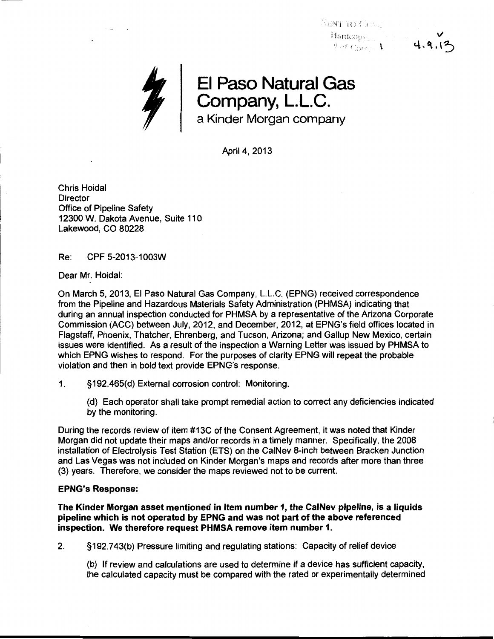$\mathrm{N}\mathrm{i}\mathrm{N}\mathrm{T}$  to the set !1ardcop; l



April 4, 2013

Chris Hoidal **Director** Office of Pipeline Safety 12300 W. Dakota Avenue, Suite 110 Lakewood, CO 80228

Re: CPF 5-2013-1 003W

Dear Mr. Hoidal:

On March 5, 2013, El Paso Natural Gas Company, L.L.C. (EPNG) received correspondence from the Pipeline and Hazardous Materials Safety Administration (PHMSA) indicating that during an annual inspection conducted for PHMSA by a representative of the Arizona Corporate Commission (ACC) between July, 2012, and December, 2012, at EPNG's field offices located in Flagstaff, Phoenix, Thatcher, Ehrenberg, and Tucson, Arizona; and Gallup New Mexico, certain issues were identified. As a result of the inspection a Warning Letter was issued by PHMSA to which EPNG wishes to respond. For the purposes of clarity EPNG will repeat the probable violation and then in bold text provide EPNG's response.

1. §192.465(d) External corrosion control: Monitoring.

(d) Each operator shall take prompt remedial action to correct any deficiencies indicated by the monitoring.

During the records review of item #13C of the Consent Agreement, it was noted that Kinder Morgan did not update their maps and/or records in a timely manner. Specifically, the 2008 installation of Electrolysis Test Station (ETS) on the CaiNev 8-inch between Bracken Junction and Las Vegas was not included on Kinder Morgan's maps and records after more than three (3) years. Therefore, we consider the maps reviewed not to be current.

## EPNG's Response:

The Kinder Morgan asset mentioned in Item number 1, the CaiNev pipeline, is a liquids pipeline which is not operated by EPNG and was not part of the above referenced inspection. We therefore request PHMSA remove item number 1.

2. §192.743(b) Pressure limiting and regulating stations: Capacity of relief device

(b) If review and calculations are used to determine if a device has sufficient capacity, the calculated capacity must be compared with the rated or experimentally determined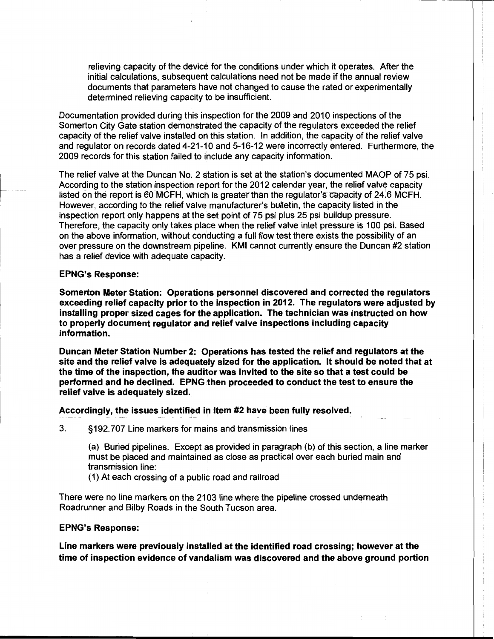relieving capacity of the device for the conditions under which it operates. After the initial calculations, subsequent calculations need not be made if the annual review documents that parameters have not changed to cause the rated or experimentally determined relieving capacity to be insufficient.

Documentation provided during this inspection for the 2009 and 2010 inspections of the Somerton City Gate station demonstrated the capacity of the regulators exceeded the relief capacity of the relief valve installed on this station. In addition, the capacity of the relief valve and regulator on records dated 4-21-10 and 5-16-12 were incorrectly entered. Furthermore, the 2009 records for this station failed to include any capacity information.

The relief valve at the Duncan No. 2 station is set at the station's documented MAOP of 75 psi. According to the station inspection report for the 2012 calendar year, the relief valve capacity listed on the report is 60 MCFH, which is greater than the regulator's capacity of 24.6 MCFH. However, according to the relief valve manufacturer's bulletin, the capacity listed in the inspection report only happens at the set point of 75 psi plus 25 psi buildup pressure. Therefore, the capacity only takes place when the relief valve inlet pressure is 100 psi. Based on the above information, without conducting a full flow test there exists the possibility of an over pressure on the downstream pipeline. KMI cannot currently ensure the Duncan #2 station has a relief device with adequate capacity.

## EPNG's Response:

Somerton Meter Station: Operations personnel discovered and corrected the regulators exceeding relief capacity prior to the inspection in 2012. The regulators were adjusted by installing proper sized cages for the application. The technician was instructed on how to properly document regulator and relief valve inspections including capacity information.

Duncan Meter Station Number 2: Operations has tested the relief and regulators at the site and the relief valve is adequately sized for the application. It should be noted that at the time of the inspection, the auditor was invited to the site so that a test could be performed and he declined. EPNG then proceeded to conduct the test to ensure the relief valve is adequately sized.

## Accordingly, the issues identified in Item #2 have been fully resolved.

3. §192.707 Line markers for mains and transmission lines

(a) Buried pipelines. Except as provided in paragraph (b) of this section, a line marker must be placed and maintained as close as practical over each buried main and transmission line:

(1) At each crossing of a public road and railroad

There were no line markers on the 2103 line where the pipeline crossed underneath Roadrunner and Bilby Roads in the South Tucson area.

## EPNG's Response:

Line markers were previously installed at the identified road crossing; however at the time of inspection evidence of vandalism was discovered and the above ground portion